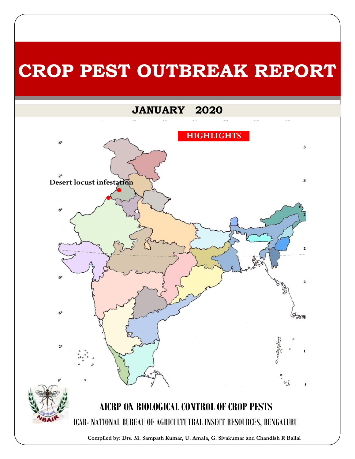# **CROP PEST OUTBREAK REPORT**

## **JANUARY 2020**

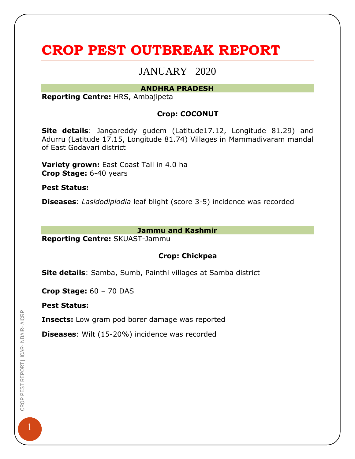# **CROP PEST OUTBREAK REPORT**

### JANUARY 2020

#### **ANDHRA PRADESH**

**Reporting Centre:** HRS, Ambajipeta

#### **Crop: COCONUT**

**Site details**: Jangareddy gudem (Latitude17.12, Longitude 81.29) and Adurru (Latitude 17.15, Longitude 81.74) Villages in Mammadivaram mandal of East Godavari district

**Variety grown:** East Coast Tall in 4.0 ha **Crop Stage:** 6-40 years

**Pest Status:**

**Diseases**: *Lasidodiplodia* leaf blight (score 3-5) incidence was recorded

#### **Jammu and Kashmir**

**Reporting Centre:** SKUAST-Jammu

#### **Crop: Chickpea**

**Site details**: Samba, Sumb, Painthi villages at Samba district

**Crop Stage:** 60 – 70 DAS

**Pest Status:**

**Insects:** Low gram pod borer damage was reported

**Diseases**: Wilt (15-20%) incidence was recorded

1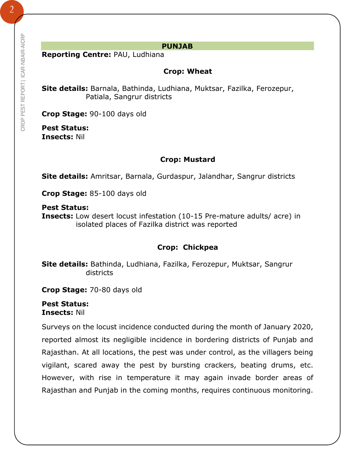#### **PUNJAB**

**Reporting Centre:** PAU, Ludhiana

#### **Crop: Wheat**

**Site details:** Barnala, Bathinda, Ludhiana, Muktsar, Fazilka, Ferozepur, Patiala, Sangrur districts

**Crop Stage:** 90-100 days old

**Pest Status: Insects:** Nil

#### **Crop: Mustard**

**Site details:** Amritsar, Barnala, Gurdaspur, Jalandhar, Sangrur districts

**Crop Stage:** 85-100 days old

**Pest Status:**

**Insects:** Low desert locust infestation (10-15 Pre-mature adults/ acre) in isolated places of Fazilka district was reported

#### **Crop: Chickpea**

**Site details:** Bathinda, Ludhiana, Fazilka, Ferozepur, Muktsar, Sangrur districts

**Crop Stage:** 70-80 days old

**Pest Status: Insects:** Nil

Surveys on the locust incidence conducted during the month of January 2020, reported almost its negligible incidence in bordering districts of Punjab and Rajasthan. At all locations, the pest was under control, as the villagers being vigilant, scared away the pest by bursting crackers, beating drums, etc. However, with rise in temperature it may again invade border areas of Rajasthan and Punjab in the coming months, requires continuous monitoring.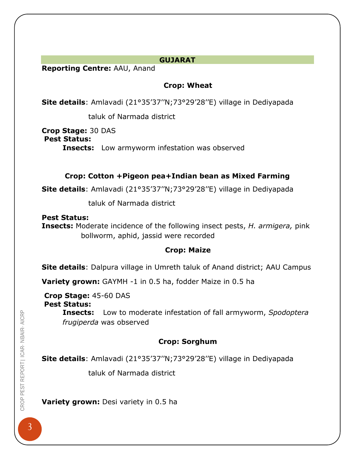#### **GUJARAT**

**Reporting Centre:** AAU, Anand

#### **Crop: Wheat**

**Site details**: Amlavadi (21°35'37''N;73°29'28''E) village in Dediyapada

taluk of Narmada district

**Crop Stage:** 30 DAS

**Pest Status:**

**Insects:** Low armyworm infestation was observed

#### **Crop: Cotton +Pigeon pea+Indian bean as Mixed Farming**

**Site details**: Amlavadi (21°35'37''N;73°29'28''E) village in Dediyapada

taluk of Narmada district

**Pest Status: Insects:** Moderate incidence of the following insect pests, *H. armigera,* pink bollworm, aphid, jassid were recorded

#### **Crop: Maize**

**Site details**: Dalpura village in Umreth taluk of Anand district; AAU Campus

**Variety grown:** GAYMH -1 in 0.5 ha, fodder Maize in 0.5 ha

**Crop Stage:** 45-60 DAS **Pest Status:**

**Insects:** Low to moderate infestation of fall armyworm, *Spodoptera frugiperda* was observed

#### **Crop: Sorghum**

**Site details**: Amlavadi (21°35'37''N;73°29'28''E) village in Dediyapada

taluk of Narmada district

**Variety grown:** Desi variety in 0.5 ha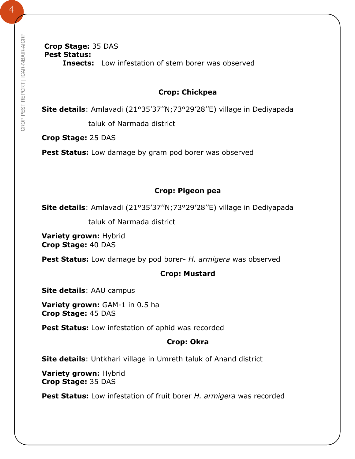#### **Crop Stage:** 35 DAS **Pest Status: Insects:** Low infestation of stem borer was observed

#### **Crop: Chickpea**

**Site details**: Amlavadi (21°35'37''N;73°29'28''E) village in Dediyapada

taluk of Narmada district

**Crop Stage:** 25 DAS

Pest Status: Low damage by gram pod borer was observed

#### **Crop: Pigeon pea**

**Site details**: Amlavadi (21°35'37''N;73°29'28''E) village in Dediyapada

taluk of Narmada district

**Variety grown:** Hybrid **Crop Stage:** 40 DAS

**Pest Status:** Low damage by pod borer- *H. armigera* was observed

#### **Crop: Mustard**

**Site details**: AAU campus

**Variety grown:** GAM-1 in 0.5 ha **Crop Stage:** 45 DAS

**Pest Status:** Low infestation of aphid was recorded

#### **Crop: Okra**

**Site details**: Untkhari village in Umreth taluk of Anand district

**Variety grown:** Hybrid **Crop Stage:** 35 DAS

**Pest Status:** Low infestation of fruit borer *H. armigera* was recorded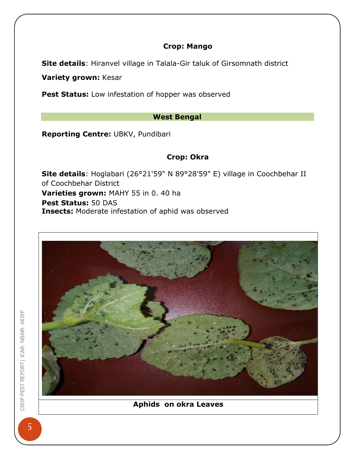#### **Crop: Mango**

**Site details**: Hiranvel village in Talala-Gir taluk of Girsomnath district

**Variety grown:** Kesar

Pest Status: Low infestation of hopper was observed

#### **West Bengal**

**Reporting Centre:** UBKV, Pundibari

#### **Crop: Okra**

**Site details**: Hoglabari (26°21'59" N 89°28'59" E) village in Coochbehar II of Coochbehar District **Varieties grown:** MAHY 55 in 0. 40 ha **Pest Status:** 50 DAS **Insects:** Moderate infestation of aphid was observed

![](_page_5_Picture_8.jpeg)

#### **Aphids on okra Leaves**